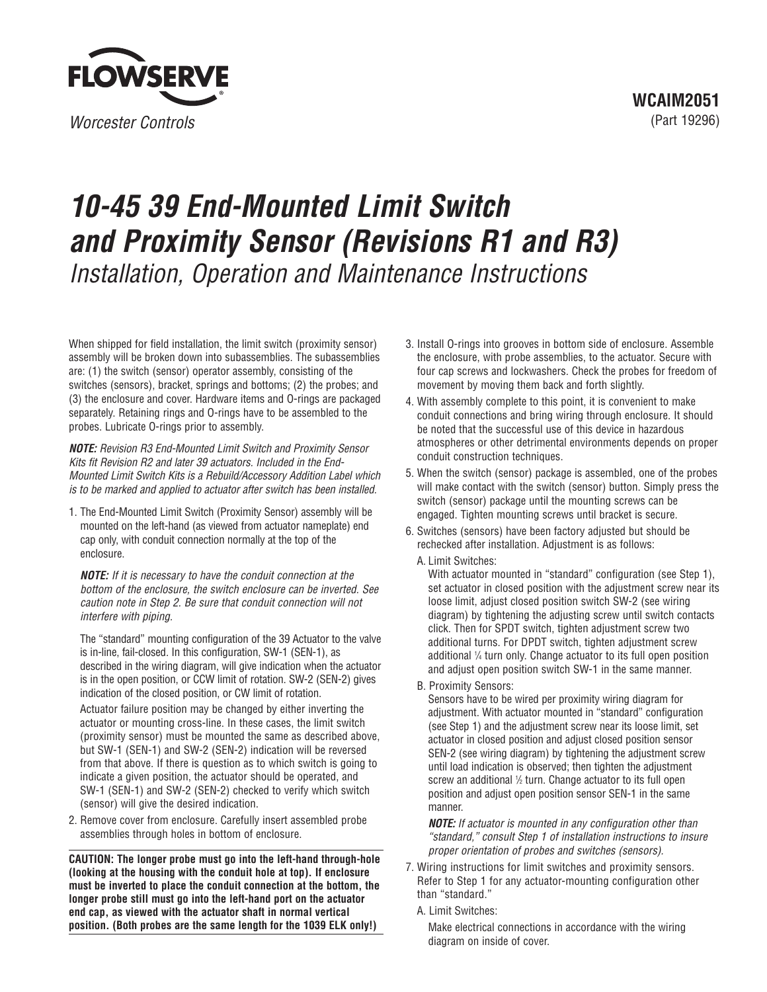

## **10-45 39 End-Mounted Limit Switch and Proximity Sensor (Revisions R1 and R3)** Installation, Operation and Maintenance Instructions

When shipped for field installation, the limit switch (proximity sensor) assembly will be broken down into subassemblies. The subassemblies are: (1) the switch (sensor) operator assembly, consisting of the switches (sensors), bracket, springs and bottoms; (2) the probes; and (3) the enclosure and cover. Hardware items and O-rings are packaged separately. Retaining rings and O-rings have to be assembled to the probes. Lubricate O-rings prior to assembly.

**NOTE:** Revision R3 End-Mounted Limit Switch and Proximity Sensor Kits fit Revision R2 and later 39 actuators. Included in the End-Mounted Limit Switch Kits is a Rebuild/Accessory Addition Label which is to be marked and applied to actuator after switch has been installed.

1. The End-Mounted Limit Switch (Proximity Sensor) assembly will be mounted on the left-hand (as viewed from actuator nameplate) end cap only, with conduit connection normally at the top of the enclosure.

**NOTE:** If it is necessary to have the conduit connection at the bottom of the enclosure, the switch enclosure can be inverted. See caution note in Step 2. Be sure that conduit connection will not interfere with piping.

The "standard" mounting configuration of the 39 Actuator to the valve is in-line, fail-closed. In this configuration, SW-1 (SEN-1), as described in the wiring diagram, will give indication when the actuator is in the open position, or CCW limit of rotation. SW-2 (SEN-2) gives indication of the closed position, or CW limit of rotation.

Actuator failure position may be changed by either inverting the actuator or mounting cross-line. In these cases, the limit switch (proximity sensor) must be mounted the same as described above, but SW-1 (SEN-1) and SW-2 (SEN-2) indication will be reversed from that above. If there is question as to which switch is going to indicate a given position, the actuator should be operated, and SW-1 (SEN-1) and SW-2 (SEN-2) checked to verify which switch (sensor) will give the desired indication.

2. Remove cover from enclosure. Carefully insert assembled probe assemblies through holes in bottom of enclosure.

**CAUTION: The longer probe must go into the left-hand through-hole (looking at the housing with the conduit hole at top). If enclosure must be inverted to place the conduit connection at the bottom, the longer probe still must go into the left-hand port on the actuator end cap, as viewed with the actuator shaft in normal vertical position. (Both probes are the same length for the 1039 ELK only!)**

- 3. Install O-rings into grooves in bottom side of enclosure. Assemble the enclosure, with probe assemblies, to the actuator. Secure with four cap screws and lockwashers. Check the probes for freedom of movement by moving them back and forth slightly.
- 4. With assembly complete to this point, it is convenient to make conduit connections and bring wiring through enclosure. It should be noted that the successful use of this device in hazardous atmospheres or other detrimental environments depends on proper conduit construction techniques.
- 5. When the switch (sensor) package is assembled, one of the probes will make contact with the switch (sensor) button. Simply press the switch (sensor) package until the mounting screws can be engaged. Tighten mounting screws until bracket is secure.
- 6. Switches (sensors) have been factory adjusted but should be rechecked after installation. Adjustment is as follows:

A. Limit Switches:

With actuator mounted in "standard" configuration (see Step 1), set actuator in closed position with the adjustment screw near its loose limit, adjust closed position switch SW-2 (see wiring diagram) by tightening the adjusting screw until switch contacts click. Then for SPDT switch, tighten adjustment screw two additional turns. For DPDT switch, tighten adjustment screw additional 1 /<sup>4</sup> turn only. Change actuator to its full open position and adjust open position switch SW-1 in the same manner.

B. Proximity Sensors:

Sensors have to be wired per proximity wiring diagram for adjustment. With actuator mounted in "standard" configuration (see Step 1) and the adjustment screw near its loose limit, set actuator in closed position and adjust closed position sensor SEN-2 (see wiring diagram) by tightening the adjustment screw until load indication is observed; then tighten the adjustment screw an additional 1/2 turn. Change actuator to its full open position and adjust open position sensor SEN-1 in the same manner.

**NOTE:** If actuator is mounted in any configuration other than "standard," consult Step 1 of installation instructions to insure proper orientation of probes and switches (sensors).

- 7. Wiring instructions for limit switches and proximity sensors. Refer to Step 1 for any actuator-mounting configuration other than "standard."
	- A. Limit Switches:

Make electrical connections in accordance with the wiring diagram on inside of cover.